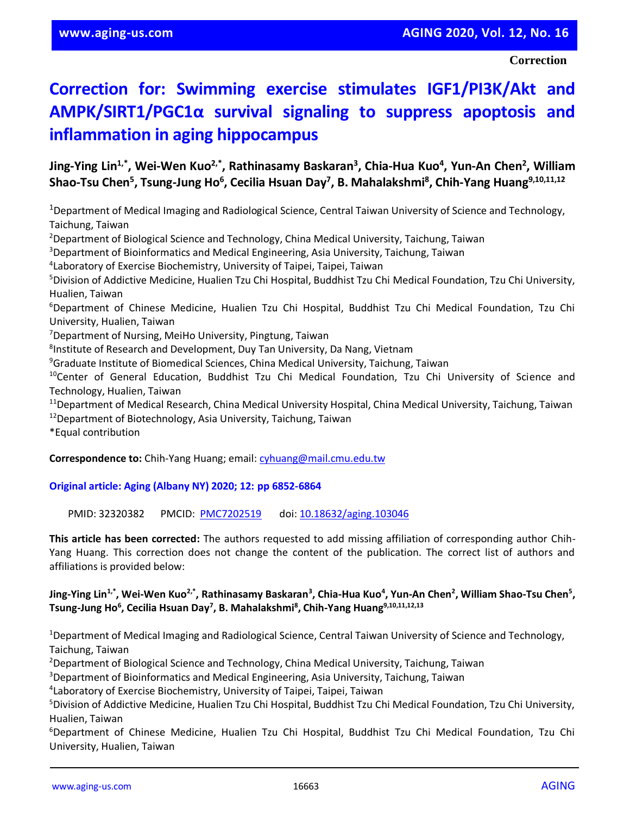## **Correction for: Swimming exercise stimulates IGF1/PI3K/Akt and AMPK/SIRT1/PGC1α survival signaling to suppress apoptosis and inflammation in aging hippocampus**

**Jing-Ying Lin1,\*, Wei-Wen Kuo2,\*, Rathinasamy Baskaran<sup>3</sup> , Chia-Hua Kuo<sup>4</sup> , Yun-An Chen<sup>2</sup> , William Shao-Tsu Chen<sup>5</sup> , Tsung-Jung Ho<sup>6</sup> , Cecilia Hsuan Day<sup>7</sup> , B. Mahalakshmi<sup>8</sup> , Chih-Yang Huang9,10,11,12**

<sup>1</sup>Department of Medical Imaging and Radiological Science, Central Taiwan University of Science and Technology, Taichung, Taiwan

<sup>2</sup>Department of Biological Science and Technology, China Medical University, Taichung, Taiwan

<sup>3</sup>Department of Bioinformatics and Medical Engineering, Asia University, Taichung, Taiwan

4 Laboratory of Exercise Biochemistry, University of Taipei, Taipei, Taiwan

<sup>5</sup>Division of Addictive Medicine, Hualien Tzu Chi Hospital, Buddhist Tzu Chi Medical Foundation, Tzu Chi University, Hualien, Taiwan

<sup>6</sup>Department of Chinese Medicine, Hualien Tzu Chi Hospital, Buddhist Tzu Chi Medical Foundation, Tzu Chi University, Hualien, Taiwan

<sup>7</sup>Department of Nursing, MeiHo University, Pingtung, Taiwan

<sup>8</sup>Institute of Research and Development, Duy Tan University, Da Nang, Vietnam

<sup>9</sup>Graduate Institute of Biomedical Sciences, China Medical University, Taichung, Taiwan

<sup>10</sup>Center of General Education, Buddhist Tzu Chi Medical Foundation, Tzu Chi University of Science and Technology, Hualien, Taiwan

<sup>11</sup>Department of Medical Research, China Medical University Hospital, China Medical University, Taichung, Taiwan

 $12$ Department of Biotechnology, Asia University, Taichung, Taiwan

\*Equal contribution

**Correspondence to:** Chih-Yang Huang; email: [cyhuang@mail.cmu.edu.tw](file:///C:/Users/Lenchik/Documents/Aging/CORRECTIONS/cyhuang@mail.cmu.edu.tw)

## **Original article: Aging (Albany NY) 2020; 12: pp 6852-6864**

PMID: 32320382 PMCID: [PMC7202519](http://www.ncbi.nlm.nih.gov/pmc/articles/pmc7202519/) doi: [10.18632/aging.103046](https://doi.org/10.18632/aging.103046)

**This article has been corrected:** The authors requested to add missing affiliation of corresponding author Chih-Yang Huang. This correction does not change the content of the publication. The correct list of authors and affiliations is provided below:

## **Jing-Ying Lin1,\*, Wei-Wen Kuo2,\*, Rathinasamy Baskaran<sup>3</sup> , Chia-Hua Kuo<sup>4</sup> , Yun-An Chen<sup>2</sup> , William Shao-Tsu Chen<sup>5</sup> , Tsung-Jung Ho<sup>6</sup> , Cecilia Hsuan Day<sup>7</sup> , B. Mahalakshmi<sup>8</sup> , Chih-Yang Huang9,10,11,12,13**

<sup>1</sup>Department of Medical Imaging and Radiological Science, Central Taiwan University of Science and Technology, Taichung, Taiwan

<sup>2</sup>Department of Biological Science and Technology, China Medical University, Taichung, Taiwan

<sup>3</sup>Department of Bioinformatics and Medical Engineering, Asia University, Taichung, Taiwan

4 Laboratory of Exercise Biochemistry, University of Taipei, Taipei, Taiwan

<sup>5</sup>Division of Addictive Medicine, Hualien Tzu Chi Hospital, Buddhist Tzu Chi Medical Foundation, Tzu Chi University, Hualien, Taiwan

<sup>6</sup>Department of Chinese Medicine, Hualien Tzu Chi Hospital, Buddhist Tzu Chi Medical Foundation, Tzu Chi University, Hualien, Taiwan